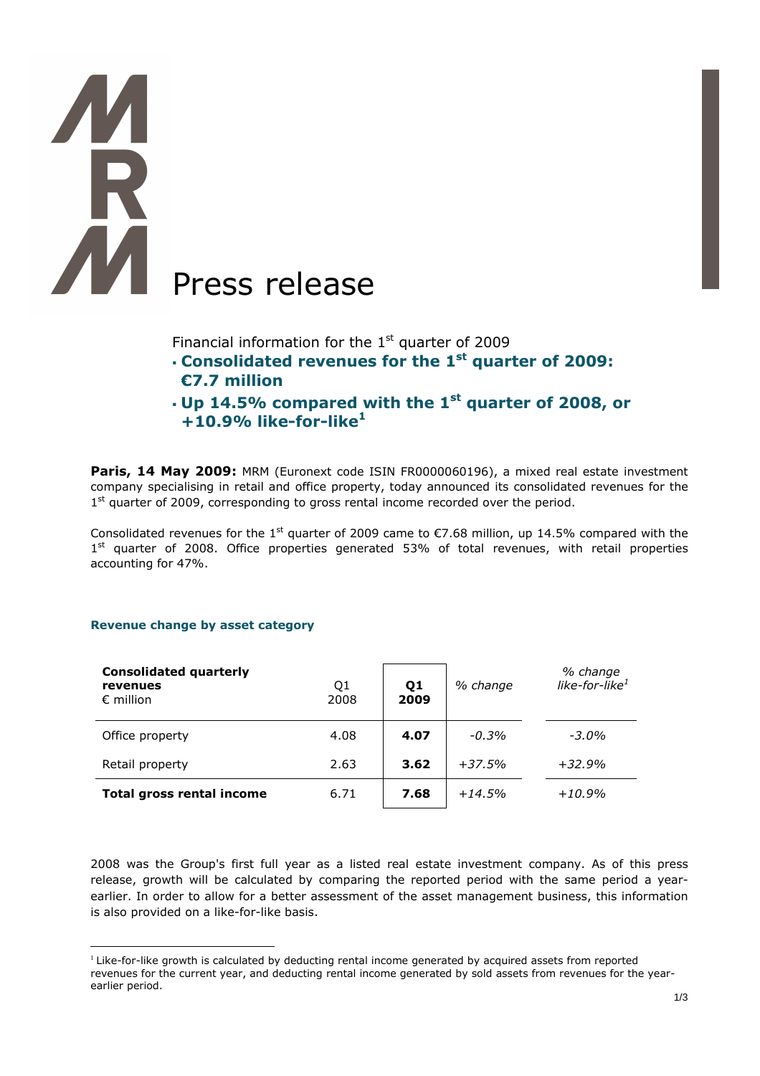# **TAR** Press release

Financial information for the  $1<sup>st</sup>$  quarter of 2009

- **Consolidated revenues for the 1st quarter of 2009: €7.7 million**
- **Up 14.5% compared with the 1st quarter of 2008, or +10.9% like-for-like<sup>1</sup>**

**Paris, 14 May 2009:** MRM (Euronext code ISIN FR0000060196), a mixed real estate investment company specialising in retail and office property, today announced its consolidated revenues for the 1<sup>st</sup> quarter of 2009, corresponding to gross rental income recorded over the period.

Consolidated revenues for the 1<sup>st</sup> quarter of 2009 came to  $\epsilon$ 7.68 million, up 14.5% compared with the 1<sup>st</sup> quarter of 2008. Office properties generated 53% of total revenues, with retail properties accounting for 47%.

# **Revenue change by asset category**

| <b>Consolidated quarterly</b><br>revenues<br>$\epsilon$ million | Q1<br>2008 | Q1<br>2009 | % change | % change<br>like-for-like $^1$ |
|-----------------------------------------------------------------|------------|------------|----------|--------------------------------|
| Office property                                                 | 4.08       | 4.07       | $-0.3%$  | $-3.0\%$                       |
| Retail property                                                 | 2.63       | 3.62       | $+37.5%$ | $+32.9%$                       |
| <b>Total gross rental income</b>                                | 6.71       | 7.68       | $+14.5%$ | $+10.9%$                       |

2008 was the Group's first full year as a listed real estate investment company. As of this press release, growth will be calculated by comparing the reported period with the same period a yearearlier. In order to allow for a better assessment of the asset management business, this information is also provided on a like-for-like basis.

 $\overline{a}$ Like-for-like growth is calculated by deducting rental income generated by acquired assets from reported revenues for the current year, and deducting rental income generated by sold assets from revenues for the yearearlier period.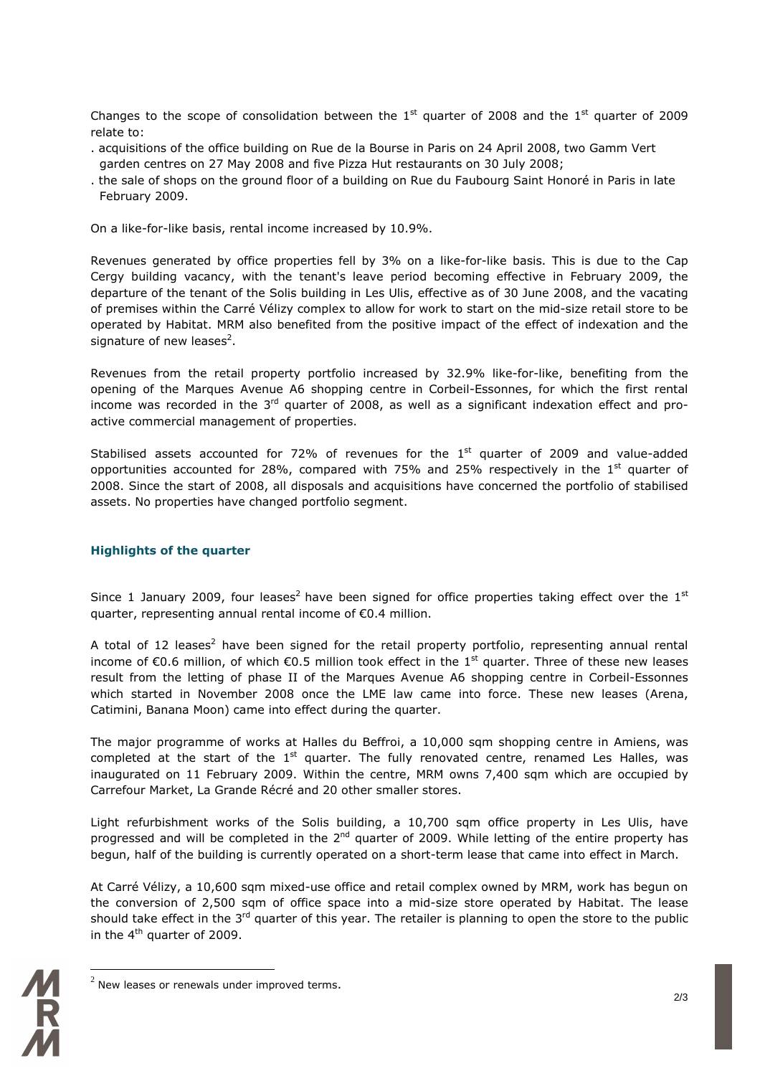Changes to the scope of consolidation between the  $1<sup>st</sup>$  quarter of 2008 and the  $1<sup>st</sup>$  quarter of 2009 relate to:

- . acquisitions of the office building on Rue de la Bourse in Paris on 24 April 2008, two Gamm Vert garden centres on 27 May 2008 and five Pizza Hut restaurants on 30 July 2008;
- . the sale of shops on the ground floor of a building on Rue du Faubourg Saint Honoré in Paris in late February 2009.

On a like-for-like basis, rental income increased by 10.9%.

Revenues generated by office properties fell by 3% on a like-for-like basis. This is due to the Cap Cergy building vacancy, with the tenant's leave period becoming effective in February 2009, the departure of the tenant of the Solis building in Les Ulis, effective as of 30 June 2008, and the vacating of premises within the Carré Vélizy complex to allow for work to start on the mid-size retail store to be operated by Habitat. MRM also benefited from the positive impact of the effect of indexation and the signature of new leases<sup>2</sup>.

Revenues from the retail property portfolio increased by 32.9% like-for-like, benefiting from the opening of the Marques Avenue A6 shopping centre in Corbeil-Essonnes, for which the first rental income was recorded in the  $3<sup>rd</sup>$  quarter of 2008, as well as a significant indexation effect and proactive commercial management of properties.

Stabilised assets accounted for 72% of revenues for the  $1<sup>st</sup>$  quarter of 2009 and value-added opportunities accounted for 28%, compared with 75% and 25% respectively in the 1st quarter of 2008. Since the start of 2008, all disposals and acquisitions have concerned the portfolio of stabilised assets. No properties have changed portfolio segment.

# **Highlights of the quarter**

Since 1 January 2009, four leases<sup>2</sup> have been signed for office properties taking effect over the  $1<sup>st</sup>$ quarter, representing annual rental income of €0.4 million.

A total of 12 leases<sup>2</sup> have been signed for the retail property portfolio, representing annual rental income of €0.6 million, of which €0.5 million took effect in the 1<sup>st</sup> quarter. Three of these new leases result from the letting of phase II of the Marques Avenue A6 shopping centre in Corbeil-Essonnes which started in November 2008 once the LME law came into force. These new leases (Arena, Catimini, Banana Moon) came into effect during the quarter.

The major programme of works at Halles du Beffroi, a 10,000 sqm shopping centre in Amiens, was completed at the start of the  $1<sup>st</sup>$  quarter. The fully renovated centre, renamed Les Halles, was inaugurated on 11 February 2009. Within the centre, MRM owns 7,400 sqm which are occupied by Carrefour Market, La Grande Récré and 20 other smaller stores.

Light refurbishment works of the Solis building, a 10,700 sqm office property in Les Ulis, have progressed and will be completed in the 2<sup>nd</sup> quarter of 2009. While letting of the entire property has begun, half of the building is currently operated on a short-term lease that came into effect in March.

At Carré Vélizy, a 10,600 sqm mixed-use office and retail complex owned by MRM, work has begun on the conversion of 2,500 sqm of office space into a mid-size store operated by Habitat. The lease should take effect in the  $3^{rd}$  quarter of this year. The retailer is planning to open the store to the public in the  $4^{\text{th}}$  quarter of 2009.



 $\overline{a}$ 

 $^{2}$  New leases or renewals under improved terms.